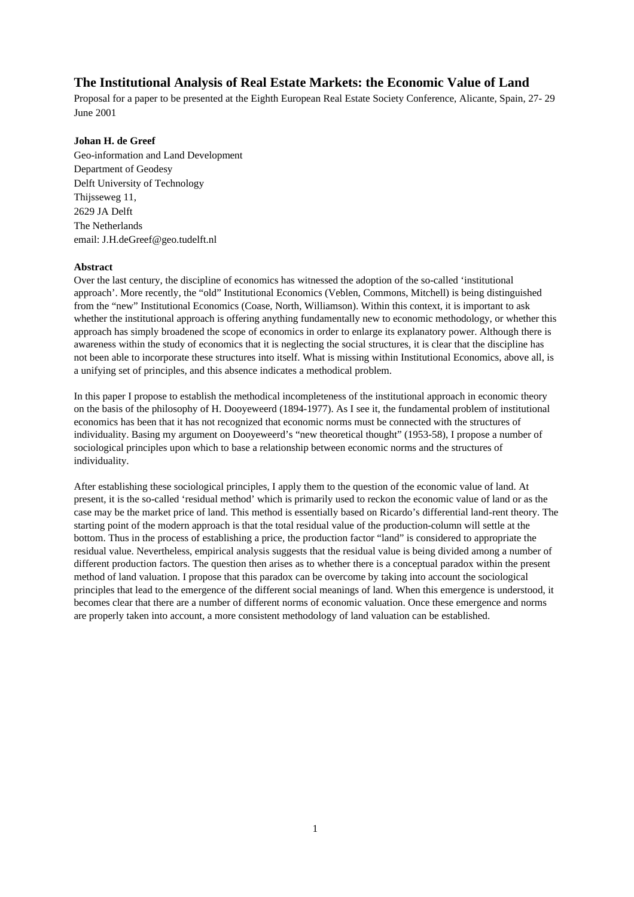# **The Institutional Analysis of Real Estate Markets: the Economic Value of Land**

Proposal for a paper to be presented at the Eighth European Real Estate Society Conference, Alicante, Spain, 27- 29 June 2001

# **Johan H. de Greef**

Geo-information and Land Development Department of Geodesy Delft University of Technology Thijsseweg 11, 2629 JA Delft The Netherlands email: J.H.deGreef@geo.tudelft.nl

# **Abstract**

Over the last century, the discipline of economics has witnessed the adoption of the so-called 'institutional approach'. More recently, the "old" Institutional Economics (Veblen, Commons, Mitchell) is being distinguished from the "new" Institutional Economics (Coase, North, Williamson). Within this context, it is important to ask whether the institutional approach is offering anything fundamentally new to economic methodology, or whether this approach has simply broadened the scope of economics in order to enlarge its explanatory power. Although there is awareness within the study of economics that it is neglecting the social structures, it is clear that the discipline has not been able to incorporate these structures into itself. What is missing within Institutional Economics, above all, is a unifying set of principles, and this absence indicates a methodical problem.

In this paper I propose to establish the methodical incompleteness of the institutional approach in economic theory on the basis of the philosophy of H. Dooyeweerd (1894-1977). As I see it, the fundamental problem of institutional economics has been that it has not recognized that economic norms must be connected with the structures of individuality. Basing my argument on Dooyeweerd's "new theoretical thought" (1953-58), I propose a number of sociological principles upon which to base a relationship between economic norms and the structures of individuality.

After establishing these sociological principles, I apply them to the question of the economic value of land. At present, it is the so-called 'residual method' which is primarily used to reckon the economic value of land or as the case may be the market price of land. This method is essentially based on Ricardo's differential land-rent theory. The starting point of the modern approach is that the total residual value of the production-column will settle at the bottom. Thus in the process of establishing a price, the production factor "land" is considered to appropriate the residual value. Nevertheless, empirical analysis suggests that the residual value is being divided among a number of different production factors. The question then arises as to whether there is a conceptual paradox within the present method of land valuation. I propose that this paradox can be overcome by taking into account the sociological principles that lead to the emergence of the different social meanings of land. When this emergence is understood, it becomes clear that there are a number of different norms of economic valuation. Once these emergence and norms are properly taken into account, a more consistent methodology of land valuation can be established.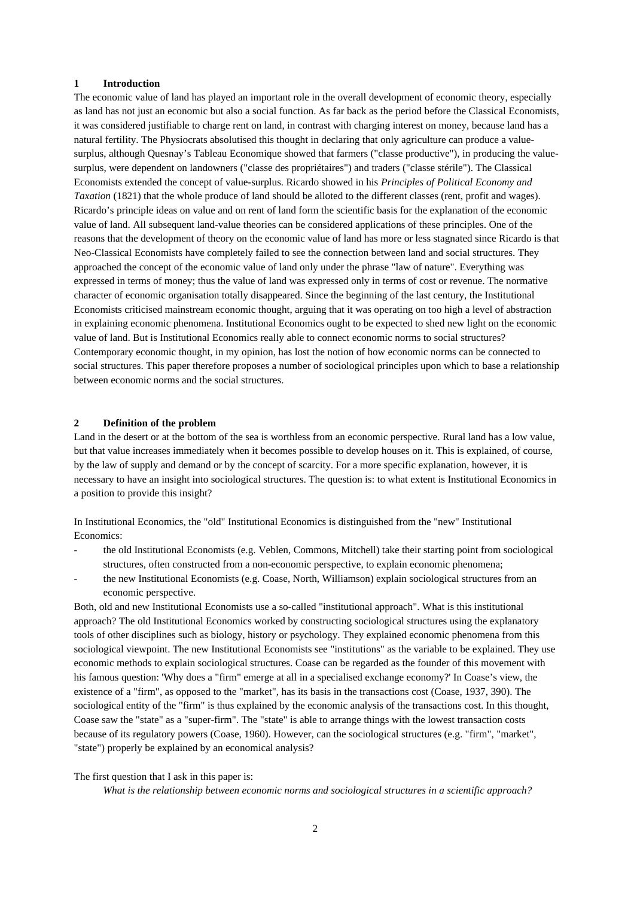#### **1 Introduction**

The economic value of land has played an important role in the overall development of economic theory, especially as land has not just an economic but also a social function. As far back as the period before the Classical Economists, it was considered justifiable to charge rent on land, in contrast with charging interest on money, because land has a natural fertility. The Physiocrats absolutised this thought in declaring that only agriculture can produce a valuesurplus, although Quesnay's Tableau Economique showed that farmers ("classe productive"), in producing the valuesurplus, were dependent on landowners ("classe des propriétaires") and traders ("classe stérile"). The Classical Economists extended the concept of value-surplus. Ricardo showed in his *Principles of Political Economy and Taxation* (1821) that the whole produce of land should be alloted to the different classes (rent, profit and wages). Ricardo's principle ideas on value and on rent of land form the scientific basis for the explanation of the economic value of land. All subsequent land-value theories can be considered applications of these principles. One of the reasons that the development of theory on the economic value of land has more or less stagnated since Ricardo is that Neo-Classical Economists have completely failed to see the connection between land and social structures. They approached the concept of the economic value of land only under the phrase "law of nature". Everything was expressed in terms of money; thus the value of land was expressed only in terms of cost or revenue. The normative character of economic organisation totally disappeared. Since the beginning of the last century, the Institutional Economists criticised mainstream economic thought, arguing that it was operating on too high a level of abstraction in explaining economic phenomena. Institutional Economics ought to be expected to shed new light on the economic value of land. But is Institutional Economics really able to connect economic norms to social structures? Contemporary economic thought, in my opinion, has lost the notion of how economic norms can be connected to social structures. This paper therefore proposes a number of sociological principles upon which to base a relationship between economic norms and the social structures.

#### **2 Definition of the problem**

Land in the desert or at the bottom of the sea is worthless from an economic perspective. Rural land has a low value, but that value increases immediately when it becomes possible to develop houses on it. This is explained, of course, by the law of supply and demand or by the concept of scarcity. For a more specific explanation, however, it is necessary to have an insight into sociological structures. The question is: to what extent is Institutional Economics in a position to provide this insight?

In Institutional Economics, the "old" Institutional Economics is distinguished from the "new" Institutional Economics:

- the old Institutional Economists (e.g. Veblen, Commons, Mitchell) take their starting point from sociological structures, often constructed from a non-economic perspective, to explain economic phenomena;
- the new Institutional Economists (e.g. Coase, North, Williamson) explain sociological structures from an economic perspective.

Both, old and new Institutional Economists use a so-called "institutional approach". What is this institutional approach? The old Institutional Economics worked by constructing sociological structures using the explanatory tools of other disciplines such as biology, history or psychology. They explained economic phenomena from this sociological viewpoint. The new Institutional Economists see "institutions" as the variable to be explained. They use economic methods to explain sociological structures. Coase can be regarded as the founder of this movement with his famous question: 'Why does a "firm" emerge at all in a specialised exchange economy?' In Coase's view, the existence of a "firm", as opposed to the "market", has its basis in the transactions cost (Coase, 1937, 390). The sociological entity of the "firm" is thus explained by the economic analysis of the transactions cost. In this thought, Coase saw the "state" as a "super-firm". The "state" is able to arrange things with the lowest transaction costs because of its regulatory powers (Coase, 1960). However, can the sociological structures (e.g. "firm", "market", "state") properly be explained by an economical analysis?

#### The first question that I ask in this paper is:

*What is the relationship between economic norms and sociological structures in a scientific approach?*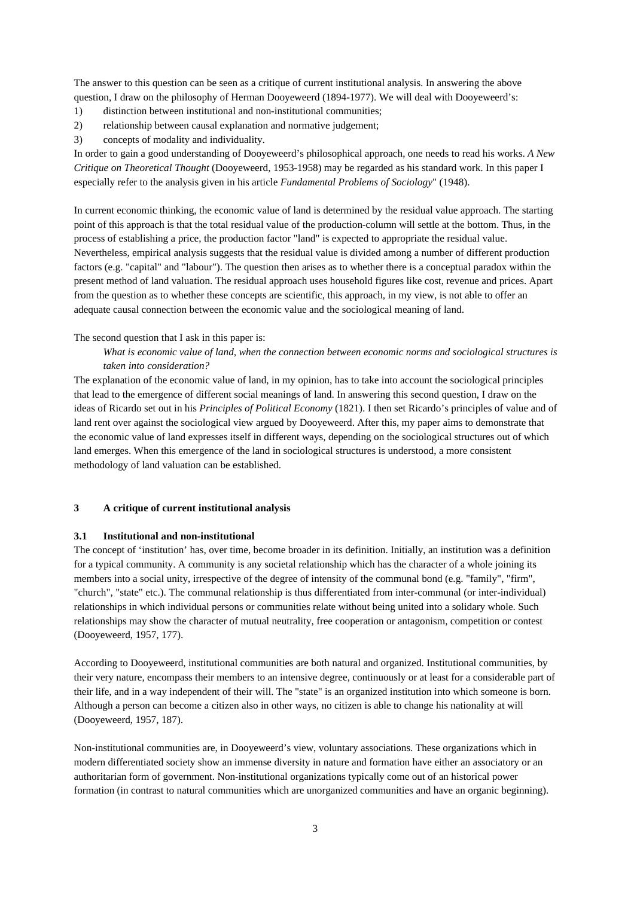The answer to this question can be seen as a critique of current institutional analysis. In answering the above question, I draw on the philosophy of Herman Dooyeweerd (1894-1977). We will deal with Dooyeweerd's:

- 1) distinction between institutional and non-institutional communities;
- 2) relationship between causal explanation and normative judgement;
- 3) concepts of modality and individuality.

In order to gain a good understanding of Dooyeweerd's philosophical approach, one needs to read his works. *A New Critique on Theoretical Thought* (Dooyeweerd, 1953-1958) may be regarded as his standard work. In this paper I especially refer to the analysis given in his article *Fundamental Problems of Sociology*" (1948).

In current economic thinking, the economic value of land is determined by the residual value approach. The starting point of this approach is that the total residual value of the production-column will settle at the bottom. Thus, in the process of establishing a price, the production factor "land" is expected to appropriate the residual value. Nevertheless, empirical analysis suggests that the residual value is divided among a number of different production factors (e.g. "capital" and "labour"). The question then arises as to whether there is a conceptual paradox within the present method of land valuation. The residual approach uses household figures like cost, revenue and prices. Apart from the question as to whether these concepts are scientific, this approach, in my view, is not able to offer an adequate causal connection between the economic value and the sociological meaning of land.

## The second question that I ask in this paper is:

# *What is economic value of land, when the connection between economic norms and sociological structures is taken into consideration?*

The explanation of the economic value of land, in my opinion, has to take into account the sociological principles that lead to the emergence of different social meanings of land. In answering this second question, I draw on the ideas of Ricardo set out in his *Principles of Political Economy* (1821). I then set Ricardo's principles of value and of land rent over against the sociological view argued by Dooyeweerd. After this, my paper aims to demonstrate that the economic value of land expresses itself in different ways, depending on the sociological structures out of which land emerges. When this emergence of the land in sociological structures is understood, a more consistent methodology of land valuation can be established.

# **3 A critique of current institutional analysis**

## **3.1 Institutional and non-institutional**

The concept of 'institution' has, over time, become broader in its definition. Initially, an institution was a definition for a typical community. A community is any societal relationship which has the character of a whole joining its members into a social unity, irrespective of the degree of intensity of the communal bond (e.g. "family", "firm", "church", "state" etc.). The communal relationship is thus differentiated from inter-communal (or inter-individual) relationships in which individual persons or communities relate without being united into a solidary whole. Such relationships may show the character of mutual neutrality, free cooperation or antagonism, competition or contest (Dooyeweerd, 1957, 177).

According to Dooyeweerd, institutional communities are both natural and organized. Institutional communities, by their very nature, encompass their members to an intensive degree, continuously or at least for a considerable part of their life, and in a way independent of their will. The "state" is an organized institution into which someone is born. Although a person can become a citizen also in other ways, no citizen is able to change his nationality at will (Dooyeweerd, 1957, 187).

Non-institutional communities are, in Dooyeweerd's view, voluntary associations. These organizations which in modern differentiated society show an immense diversity in nature and formation have either an associatory or an authoritarian form of government. Non-institutional organizations typically come out of an historical power formation (in contrast to natural communities which are unorganized communities and have an organic beginning).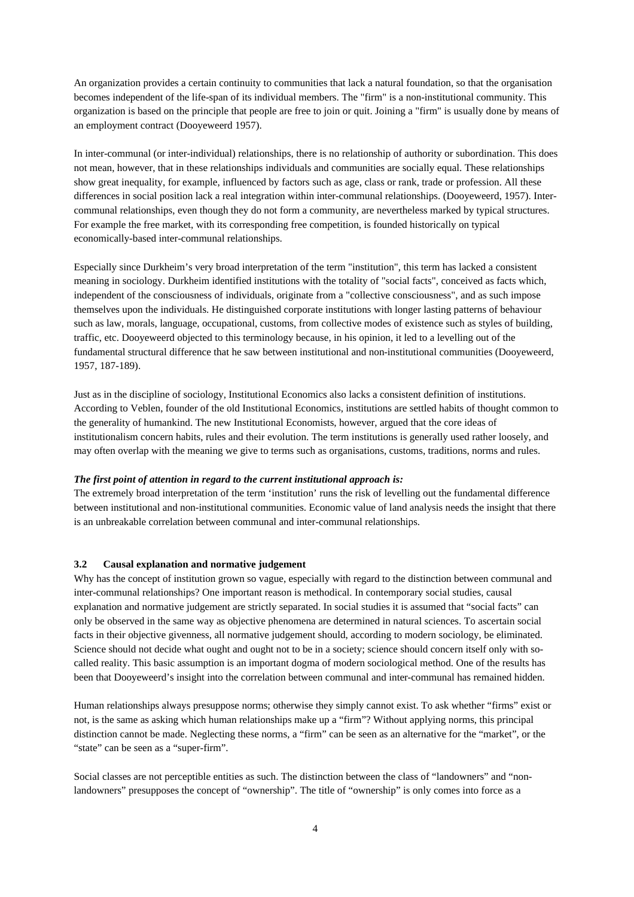An organization provides a certain continuity to communities that lack a natural foundation, so that the organisation becomes independent of the life-span of its individual members. The "firm" is a non-institutional community. This organization is based on the principle that people are free to join or quit. Joining a "firm" is usually done by means of an employment contract (Dooyeweerd 1957).

In inter-communal (or inter-individual) relationships, there is no relationship of authority or subordination. This does not mean, however, that in these relationships individuals and communities are socially equal. These relationships show great inequality, for example, influenced by factors such as age, class or rank, trade or profession. All these differences in social position lack a real integration within inter-communal relationships. (Dooyeweerd, 1957). Intercommunal relationships, even though they do not form a community, are nevertheless marked by typical structures. For example the free market, with its corresponding free competition, is founded historically on typical economically-based inter-communal relationships.

Especially since Durkheim's very broad interpretation of the term "institution", this term has lacked a consistent meaning in sociology. Durkheim identified institutions with the totality of "social facts", conceived as facts which, independent of the consciousness of individuals, originate from a "collective consciousness", and as such impose themselves upon the individuals. He distinguished corporate institutions with longer lasting patterns of behaviour such as law, morals, language, occupational, customs, from collective modes of existence such as styles of building, traffic, etc. Dooyeweerd objected to this terminology because, in his opinion, it led to a levelling out of the fundamental structural difference that he saw between institutional and non-institutional communities (Dooyeweerd, 1957, 187-189).

Just as in the discipline of sociology, Institutional Economics also lacks a consistent definition of institutions. According to Veblen, founder of the old Institutional Economics, institutions are settled habits of thought common to the generality of humankind. The new Institutional Economists, however, argued that the core ideas of institutionalism concern habits, rules and their evolution. The term institutions is generally used rather loosely, and may often overlap with the meaning we give to terms such as organisations, customs, traditions, norms and rules.

## *The first point of attention in regard to the current institutional approach is:*

The extremely broad interpretation of the term 'institution' runs the risk of levelling out the fundamental difference between institutional and non-institutional communities. Economic value of land analysis needs the insight that there is an unbreakable correlation between communal and inter-communal relationships.

## **3.2 Causal explanation and normative judgement**

Why has the concept of institution grown so vague, especially with regard to the distinction between communal and inter-communal relationships? One important reason is methodical. In contemporary social studies, causal explanation and normative judgement are strictly separated. In social studies it is assumed that "social facts" can only be observed in the same way as objective phenomena are determined in natural sciences. To ascertain social facts in their objective givenness, all normative judgement should, according to modern sociology, be eliminated. Science should not decide what ought and ought not to be in a society; science should concern itself only with socalled reality. This basic assumption is an important dogma of modern sociological method. One of the results has been that Dooyeweerd's insight into the correlation between communal and inter-communal has remained hidden.

Human relationships always presuppose norms; otherwise they simply cannot exist. To ask whether "firms" exist or not, is the same as asking which human relationships make up a "firm"? Without applying norms, this principal distinction cannot be made. Neglecting these norms, a "firm" can be seen as an alternative for the "market", or the "state" can be seen as a "super-firm".

Social classes are not perceptible entities as such. The distinction between the class of "landowners" and "nonlandowners" presupposes the concept of "ownership". The title of "ownership" is only comes into force as a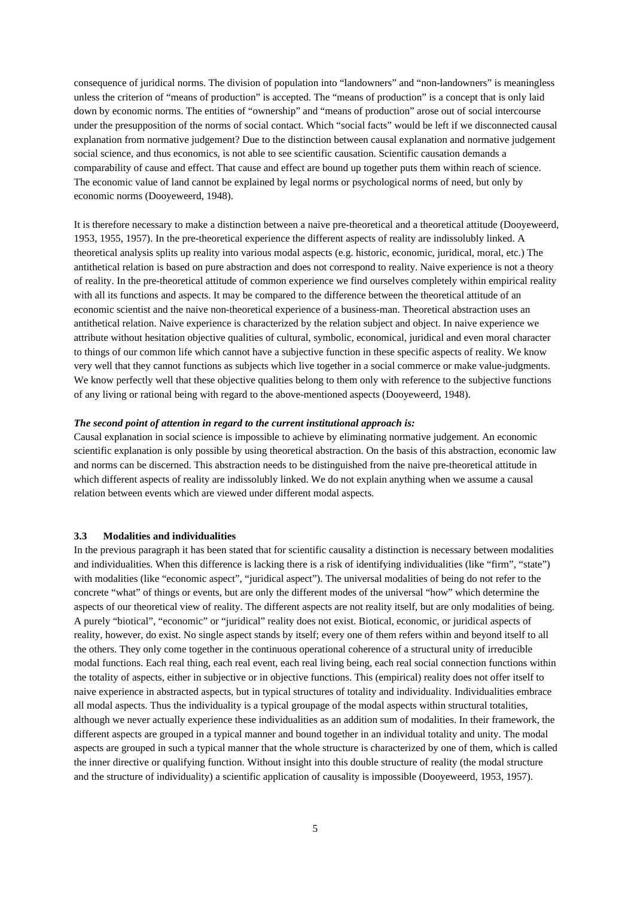consequence of juridical norms. The division of population into "landowners" and "non-landowners" is meaningless unless the criterion of "means of production" is accepted. The "means of production" is a concept that is only laid down by economic norms. The entities of "ownership" and "means of production" arose out of social intercourse under the presupposition of the norms of social contact. Which "social facts" would be left if we disconnected causal explanation from normative judgement? Due to the distinction between causal explanation and normative judgement social science, and thus economics, is not able to see scientific causation. Scientific causation demands a comparability of cause and effect. That cause and effect are bound up together puts them within reach of science. The economic value of land cannot be explained by legal norms or psychological norms of need, but only by economic norms (Dooyeweerd, 1948).

It is therefore necessary to make a distinction between a naive pre-theoretical and a theoretical attitude (Dooyeweerd, 1953, 1955, 1957). In the pre-theoretical experience the different aspects of reality are indissolubly linked. A theoretical analysis splits up reality into various modal aspects (e.g. historic, economic, juridical, moral, etc.) The antithetical relation is based on pure abstraction and does not correspond to reality. Naive experience is not a theory of reality. In the pre-theoretical attitude of common experience we find ourselves completely within empirical reality with all its functions and aspects. It may be compared to the difference between the theoretical attitude of an economic scientist and the naive non-theoretical experience of a business-man. Theoretical abstraction uses an antithetical relation. Naive experience is characterized by the relation subject and object. In naive experience we attribute without hesitation objective qualities of cultural, symbolic, economical, juridical and even moral character to things of our common life which cannot have a subjective function in these specific aspects of reality. We know very well that they cannot functions as subjects which live together in a social commerce or make value-judgments. We know perfectly well that these objective qualities belong to them only with reference to the subjective functions of any living or rational being with regard to the above-mentioned aspects (Dooyeweerd, 1948).

#### *The second point of attention in regard to the current institutional approach is:*

Causal explanation in social science is impossible to achieve by eliminating normative judgement. An economic scientific explanation is only possible by using theoretical abstraction. On the basis of this abstraction, economic law and norms can be discerned. This abstraction needs to be distinguished from the naive pre-theoretical attitude in which different aspects of reality are indissolubly linked. We do not explain anything when we assume a causal relation between events which are viewed under different modal aspects.

# **3.3 Modalities and individualities**

In the previous paragraph it has been stated that for scientific causality a distinction is necessary between modalities and individualities. When this difference is lacking there is a risk of identifying individualities (like "firm", "state") with modalities (like "economic aspect", "juridical aspect"). The universal modalities of being do not refer to the concrete "what" of things or events, but are only the different modes of the universal "how" which determine the aspects of our theoretical view of reality. The different aspects are not reality itself, but are only modalities of being. A purely "biotical", "economic" or "juridical" reality does not exist. Biotical, economic, or juridical aspects of reality, however, do exist. No single aspect stands by itself; every one of them refers within and beyond itself to all the others. They only come together in the continuous operational coherence of a structural unity of irreducible modal functions. Each real thing, each real event, each real living being, each real social connection functions within the totality of aspects, either in subjective or in objective functions. This (empirical) reality does not offer itself to naive experience in abstracted aspects, but in typical structures of totality and individuality. Individualities embrace all modal aspects. Thus the individuality is a typical groupage of the modal aspects within structural totalities, although we never actually experience these individualities as an addition sum of modalities. In their framework, the different aspects are grouped in a typical manner and bound together in an individual totality and unity. The modal aspects are grouped in such a typical manner that the whole structure is characterized by one of them, which is called the inner directive or qualifying function. Without insight into this double structure of reality (the modal structure and the structure of individuality) a scientific application of causality is impossible (Dooyeweerd, 1953, 1957).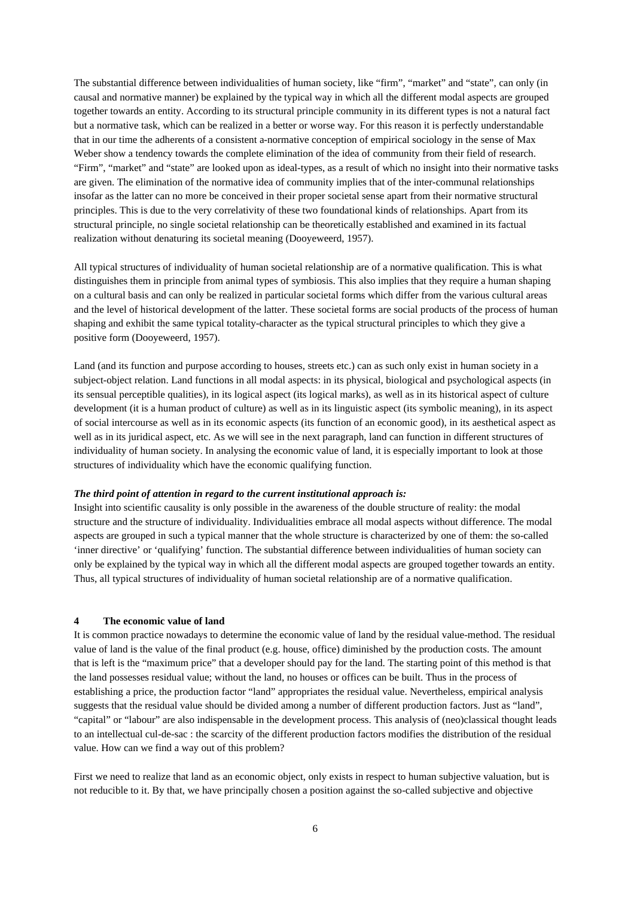The substantial difference between individualities of human society, like "firm", "market" and "state", can only (in causal and normative manner) be explained by the typical way in which all the different modal aspects are grouped together towards an entity. According to its structural principle community in its different types is not a natural fact but a normative task, which can be realized in a better or worse way. For this reason it is perfectly understandable that in our time the adherents of a consistent a-normative conception of empirical sociology in the sense of Max Weber show a tendency towards the complete elimination of the idea of community from their field of research. "Firm", "market" and "state" are looked upon as ideal-types, as a result of which no insight into their normative tasks are given. The elimination of the normative idea of community implies that of the inter-communal relationships insofar as the latter can no more be conceived in their proper societal sense apart from their normative structural principles. This is due to the very correlativity of these two foundational kinds of relationships. Apart from its structural principle, no single societal relationship can be theoretically established and examined in its factual realization without denaturing its societal meaning (Dooyeweerd, 1957).

All typical structures of individuality of human societal relationship are of a normative qualification. This is what distinguishes them in principle from animal types of symbiosis. This also implies that they require a human shaping on a cultural basis and can only be realized in particular societal forms which differ from the various cultural areas and the level of historical development of the latter. These societal forms are social products of the process of human shaping and exhibit the same typical totality-character as the typical structural principles to which they give a positive form (Dooyeweerd, 1957).

Land (and its function and purpose according to houses, streets etc.) can as such only exist in human society in a subject-object relation. Land functions in all modal aspects: in its physical, biological and psychological aspects (in its sensual perceptible qualities), in its logical aspect (its logical marks), as well as in its historical aspect of culture development (it is a human product of culture) as well as in its linguistic aspect (its symbolic meaning), in its aspect of social intercourse as well as in its economic aspects (its function of an economic good), in its aesthetical aspect as well as in its juridical aspect, etc. As we will see in the next paragraph, land can function in different structures of individuality of human society. In analysing the economic value of land, it is especially important to look at those structures of individuality which have the economic qualifying function.

## *The third point of attention in regard to the current institutional approach is:*

Insight into scientific causality is only possible in the awareness of the double structure of reality: the modal structure and the structure of individuality. Individualities embrace all modal aspects without difference. The modal aspects are grouped in such a typical manner that the whole structure is characterized by one of them: the so-called 'inner directive' or 'qualifying' function. The substantial difference between individualities of human society can only be explained by the typical way in which all the different modal aspects are grouped together towards an entity. Thus, all typical structures of individuality of human societal relationship are of a normative qualification.

#### **4 The economic value of land**

It is common practice nowadays to determine the economic value of land by the residual value-method. The residual value of land is the value of the final product (e.g. house, office) diminished by the production costs. The amount that is left is the "maximum price" that a developer should pay for the land. The starting point of this method is that the land possesses residual value; without the land, no houses or offices can be built. Thus in the process of establishing a price, the production factor "land" appropriates the residual value. Nevertheless, empirical analysis suggests that the residual value should be divided among a number of different production factors. Just as "land", "capital" or "labour" are also indispensable in the development process. This analysis of (neo)classical thought leads to an intellectual cul-de-sac : the scarcity of the different production factors modifies the distribution of the residual value. How can we find a way out of this problem?

First we need to realize that land as an economic object, only exists in respect to human subjective valuation, but is not reducible to it. By that, we have principally chosen a position against the so-called subjective and objective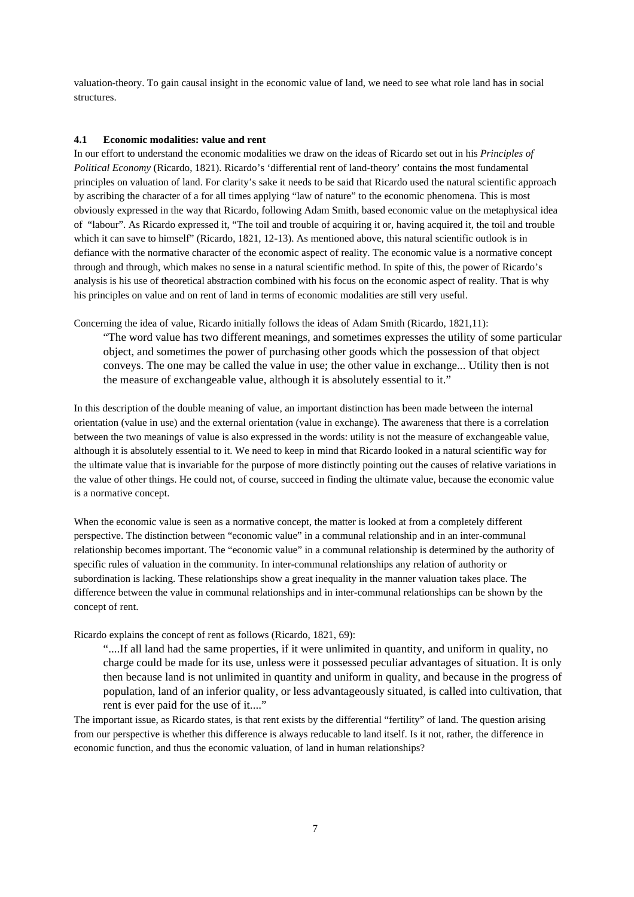valuation-theory. To gain causal insight in the economic value of land, we need to see what role land has in social structures.

#### **4.1 Economic modalities: value and rent**

In our effort to understand the economic modalities we draw on the ideas of Ricardo set out in his *Principles of Political Economy* (Ricardo, 1821). Ricardo's 'differential rent of land-theory' contains the most fundamental principles on valuation of land. For clarity's sake it needs to be said that Ricardo used the natural scientific approach by ascribing the character of a for all times applying "law of nature" to the economic phenomena. This is most obviously expressed in the way that Ricardo, following Adam Smith, based economic value on the metaphysical idea of "labour". As Ricardo expressed it, "The toil and trouble of acquiring it or, having acquired it, the toil and trouble which it can save to himself" (Ricardo, 1821, 12-13). As mentioned above, this natural scientific outlook is in defiance with the normative character of the economic aspect of reality. The economic value is a normative concept through and through, which makes no sense in a natural scientific method. In spite of this, the power of Ricardo's analysis is his use of theoretical abstraction combined with his focus on the economic aspect of reality. That is why his principles on value and on rent of land in terms of economic modalities are still very useful.

Concerning the idea of value, Ricardo initially follows the ideas of Adam Smith (Ricardo, 1821,11):

"The word value has two different meanings, and sometimes expresses the utility of some particular object, and sometimes the power of purchasing other goods which the possession of that object conveys. The one may be called the value in use; the other value in exchange... Utility then is not the measure of exchangeable value, although it is absolutely essential to it."

In this description of the double meaning of value, an important distinction has been made between the internal orientation (value in use) and the external orientation (value in exchange). The awareness that there is a correlation between the two meanings of value is also expressed in the words: utility is not the measure of exchangeable value, although it is absolutely essential to it. We need to keep in mind that Ricardo looked in a natural scientific way for the ultimate value that is invariable for the purpose of more distinctly pointing out the causes of relative variations in the value of other things. He could not, of course, succeed in finding the ultimate value, because the economic value is a normative concept.

When the economic value is seen as a normative concept, the matter is looked at from a completely different perspective. The distinction between "economic value" in a communal relationship and in an inter-communal relationship becomes important. The "economic value" in a communal relationship is determined by the authority of specific rules of valuation in the community. In inter-communal relationships any relation of authority or subordination is lacking. These relationships show a great inequality in the manner valuation takes place. The difference between the value in communal relationships and in inter-communal relationships can be shown by the concept of rent.

Ricardo explains the concept of rent as follows (Ricardo, 1821, 69):

"....If all land had the same properties, if it were unlimited in quantity, and uniform in quality, no charge could be made for its use, unless were it possessed peculiar advantages of situation. It is only then because land is not unlimited in quantity and uniform in quality, and because in the progress of population, land of an inferior quality, or less advantageously situated, is called into cultivation, that rent is ever paid for the use of it...."

The important issue, as Ricardo states, is that rent exists by the differential "fertility" of land. The question arising from our perspective is whether this difference is always reducable to land itself. Is it not, rather, the difference in economic function, and thus the economic valuation, of land in human relationships?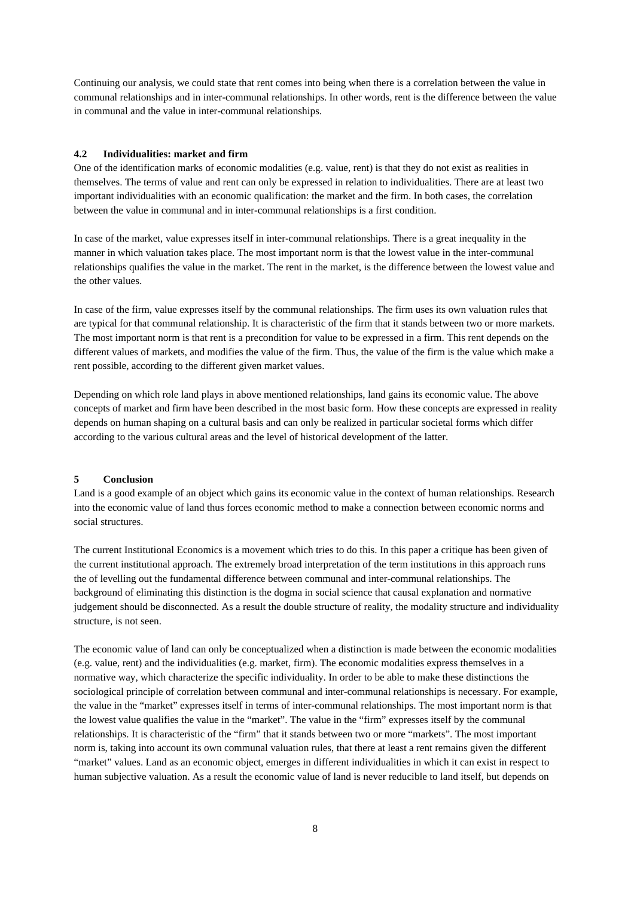Continuing our analysis, we could state that rent comes into being when there is a correlation between the value in communal relationships and in inter-communal relationships. In other words, rent is the difference between the value in communal and the value in inter-communal relationships.

# **4.2 Individualities: market and firm**

One of the identification marks of economic modalities (e.g. value, rent) is that they do not exist as realities in themselves. The terms of value and rent can only be expressed in relation to individualities. There are at least two important individualities with an economic qualification: the market and the firm. In both cases, the correlation between the value in communal and in inter-communal relationships is a first condition.

In case of the market, value expresses itself in inter-communal relationships. There is a great inequality in the manner in which valuation takes place. The most important norm is that the lowest value in the inter-communal relationships qualifies the value in the market. The rent in the market, is the difference between the lowest value and the other values.

In case of the firm, value expresses itself by the communal relationships. The firm uses its own valuation rules that are typical for that communal relationship. It is characteristic of the firm that it stands between two or more markets. The most important norm is that rent is a precondition for value to be expressed in a firm. This rent depends on the different values of markets, and modifies the value of the firm. Thus, the value of the firm is the value which make a rent possible, according to the different given market values.

Depending on which role land plays in above mentioned relationships, land gains its economic value. The above concepts of market and firm have been described in the most basic form. How these concepts are expressed in reality depends on human shaping on a cultural basis and can only be realized in particular societal forms which differ according to the various cultural areas and the level of historical development of the latter.

## **5 Conclusion**

Land is a good example of an object which gains its economic value in the context of human relationships. Research into the economic value of land thus forces economic method to make a connection between economic norms and social structures.

The current Institutional Economics is a movement which tries to do this. In this paper a critique has been given of the current institutional approach. The extremely broad interpretation of the term institutions in this approach runs the of levelling out the fundamental difference between communal and inter-communal relationships. The background of eliminating this distinction is the dogma in social science that causal explanation and normative judgement should be disconnected. As a result the double structure of reality, the modality structure and individuality structure, is not seen.

The economic value of land can only be conceptualized when a distinction is made between the economic modalities (e.g. value, rent) and the individualities (e.g. market, firm). The economic modalities express themselves in a normative way, which characterize the specific individuality. In order to be able to make these distinctions the sociological principle of correlation between communal and inter-communal relationships is necessary. For example, the value in the "market" expresses itself in terms of inter-communal relationships. The most important norm is that the lowest value qualifies the value in the "market". The value in the "firm" expresses itself by the communal relationships. It is characteristic of the "firm" that it stands between two or more "markets". The most important norm is, taking into account its own communal valuation rules, that there at least a rent remains given the different "market" values. Land as an economic object, emerges in different individualities in which it can exist in respect to human subjective valuation. As a result the economic value of land is never reducible to land itself, but depends on